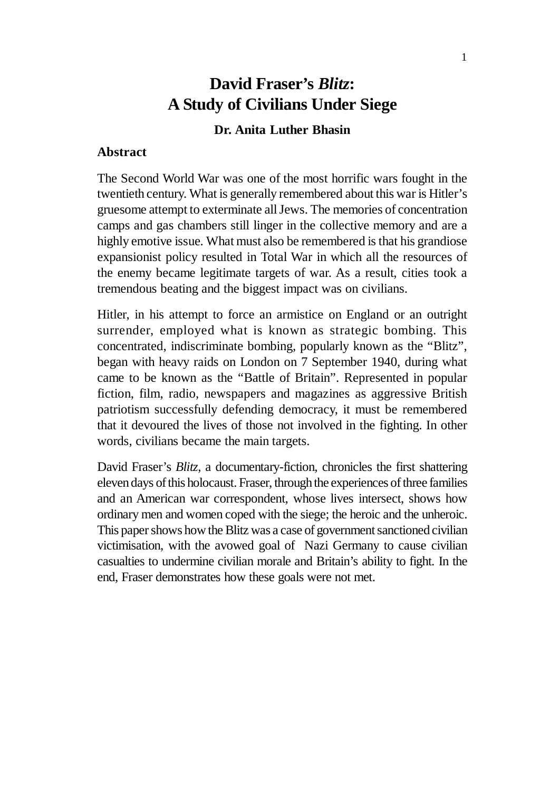# **David Fraser's** *Blitz***: A Study of Civilians Under Siege**

### **Dr. Anita Luther Bhasin**

### **Abstract**

The Second World War was one of the most horrific wars fought in the twentieth century. What is generally remembered about this war is Hitler's gruesome attempt to exterminate all Jews. The memories of concentration camps and gas chambers still linger in the collective memory and are a highly emotive issue. What must also be remembered is that his grandiose expansionist policy resulted in Total War in which all the resources of the enemy became legitimate targets of war. As a result, cities took a tremendous beating and the biggest impact was on civilians.

Hitler, in his attempt to force an armistice on England or an outright surrender, employed what is known as strategic bombing. This concentrated, indiscriminate bombing, popularly known as the "Blitz", began with heavy raids on London on 7 September 1940, during what came to be known as the "Battle of Britain". Represented in popular fiction, film, radio, newspapers and magazines as aggressive British patriotism successfully defending democracy, it must be remembered that it devoured the lives of those not involved in the fighting. In other words, civilians became the main targets.

David Fraser's *Blitz*, a documentary-fiction, chronicles the first shattering eleven days of this holocaust. Fraser, through the experiences of three families and an American war correspondent, whose lives intersect, shows how ordinary men and women coped with the siege; the heroic and the unheroic. This paper shows how the Blitz was a case of government sanctioned civilian victimisation, with the avowed goal of Nazi Germany to cause civilian casualties to undermine civilian morale and Britain's ability to fight. In the end, Fraser demonstrates how these goals were not met.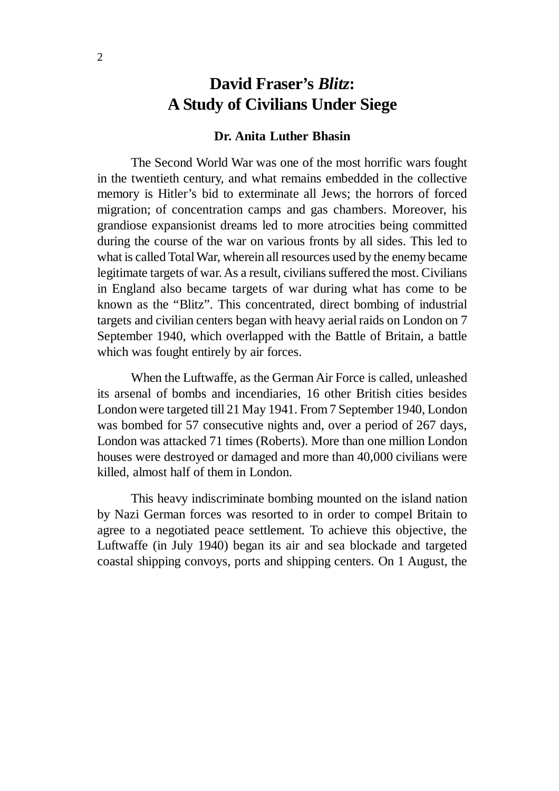# **David Fraser's** *Blitz***: A Study of Civilians Under Siege**

#### **Dr. Anita Luther Bhasin**

The Second World War was one of the most horrific wars fought in the twentieth century, and what remains embedded in the collective memory is Hitler's bid to exterminate all Jews; the horrors of forced migration; of concentration camps and gas chambers. Moreover, his grandiose expansionist dreams led to more atrocities being committed during the course of the war on various fronts by all sides. This led to what is called Total War, wherein all resources used by the enemy became legitimate targets of war. As a result, civilians suffered the most. Civilians in England also became targets of war during what has come to be known as the "Blitz". This concentrated, direct bombing of industrial targets and civilian centers began with heavy aerial raids on London on 7 September 1940, which overlapped with the Battle of Britain, a battle which was fought entirely by air forces.

When the Luftwaffe, as the German Air Force is called, unleashed its arsenal of bombs and incendiaries, 16 other British cities besides London were targeted till 21 May 1941. From 7 September 1940, London was bombed for 57 consecutive nights and, over a period of 267 days, London was attacked 71 times (Roberts). More than one million London houses were destroyed or damaged and more than 40,000 civilians were killed, almost half of them in London.

This heavy indiscriminate bombing mounted on the island nation by Nazi German forces was resorted to in order to compel Britain to agree to a negotiated peace settlement. To achieve this objective, the Luftwaffe (in July 1940) began its air and sea blockade and targeted coastal shipping convoys, ports and shipping centers. On 1 August, the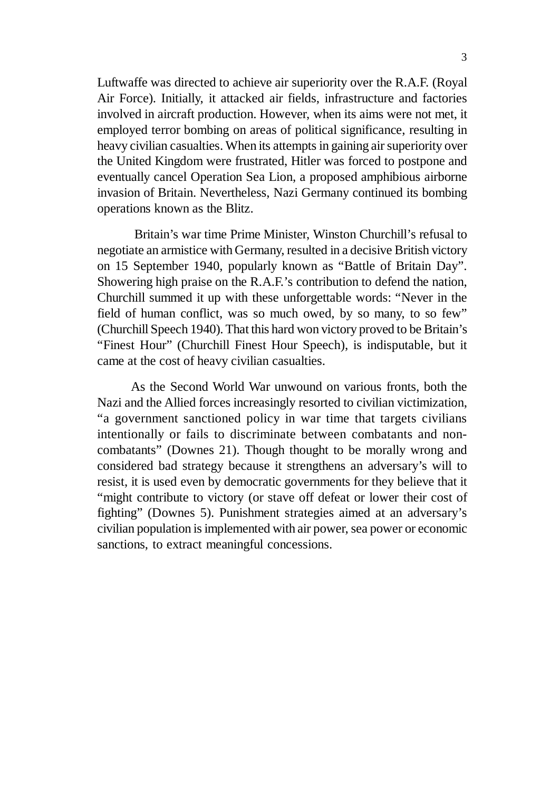Luftwaffe was directed to achieve air superiority over the R.A.F. (Royal Air Force). Initially, it attacked air fields, infrastructure and factories involved in aircraft production. However, when its aims were not met, it employed terror bombing on areas of political significance, resulting in heavy civilian casualties. When its attempts in gaining air superiority over the United Kingdom were frustrated, Hitler was forced to postpone and eventually cancel Operation Sea Lion, a proposed amphibious airborne invasion of Britain. Nevertheless, Nazi Germany continued its bombing operations known as the Blitz.

 Britain's war time Prime Minister, Winston Churchill's refusal to negotiate an armistice with Germany, resulted in a decisive British victory on 15 September 1940, popularly known as "Battle of Britain Day". Showering high praise on the R.A.F.'s contribution to defend the nation, Churchill summed it up with these unforgettable words: "Never in the field of human conflict, was so much owed, by so many, to so few" (Churchill Speech 1940). That this hard won victory proved to be Britain's "Finest Hour" (Churchill Finest Hour Speech), is indisputable, but it came at the cost of heavy civilian casualties.

As the Second World War unwound on various fronts, both the Nazi and the Allied forces increasingly resorted to civilian victimization, "a government sanctioned policy in war time that targets civilians intentionally or fails to discriminate between combatants and noncombatants" (Downes 21). Though thought to be morally wrong and considered bad strategy because it strengthens an adversary's will to resist, it is used even by democratic governments for they believe that it "might contribute to victory (or stave off defeat or lower their cost of fighting" (Downes 5). Punishment strategies aimed at an adversary's civilian population is implemented with air power, sea power or economic sanctions, to extract meaningful concessions.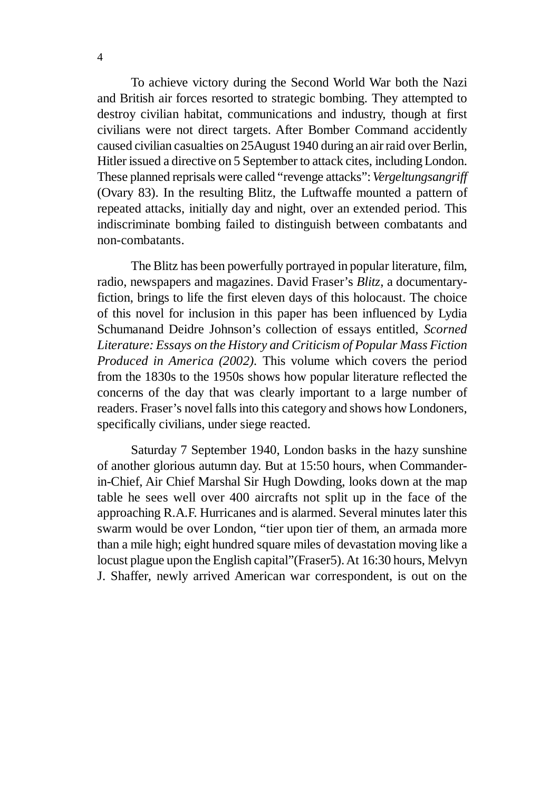To achieve victory during the Second World War both the Nazi and British air forces resorted to strategic bombing. They attempted to destroy civilian habitat, communications and industry, though at first civilians were not direct targets. After Bomber Command accidently caused civilian casualties on 25August 1940 during an air raid over Berlin, Hitler issued a directive on 5 September to attack cites, including London. These planned reprisals were called "revenge attacks": *Vergeltungsangriff* (Ovary 83). In the resulting Blitz, the Luftwaffe mounted a pattern of repeated attacks, initially day and night, over an extended period. This indiscriminate bombing failed to distinguish between combatants and non-combatants.

The Blitz has been powerfully portrayed in popular literature, film, radio, newspapers and magazines. David Fraser's *Blitz*, a documentaryfiction, brings to life the first eleven days of this holocaust. The choice of this novel for inclusion in this paper has been influenced by Lydia Schumanand Deidre Johnson's collection of essays entitled, *Scorned Literature: Essays on the History and Criticism of Popular Mass Fiction Produced in America (2002).* This volume which covers the period from the 1830s to the 1950s shows how popular literature reflected the concerns of the day that was clearly important to a large number of readers. Fraser's novel falls into this category and shows how Londoners, specifically civilians, under siege reacted.

Saturday 7 September 1940, London basks in the hazy sunshine of another glorious autumn day. But at 15:50 hours, when Commanderin-Chief, Air Chief Marshal Sir Hugh Dowding, looks down at the map table he sees well over 400 aircrafts not split up in the face of the approaching R.A.F. Hurricanes and is alarmed. Several minutes later this swarm would be over London, "tier upon tier of them, an armada more than a mile high; eight hundred square miles of devastation moving like a locust plague upon the English capital"(Fraser5). At 16:30 hours, Melvyn J. Shaffer, newly arrived American war correspondent, is out on the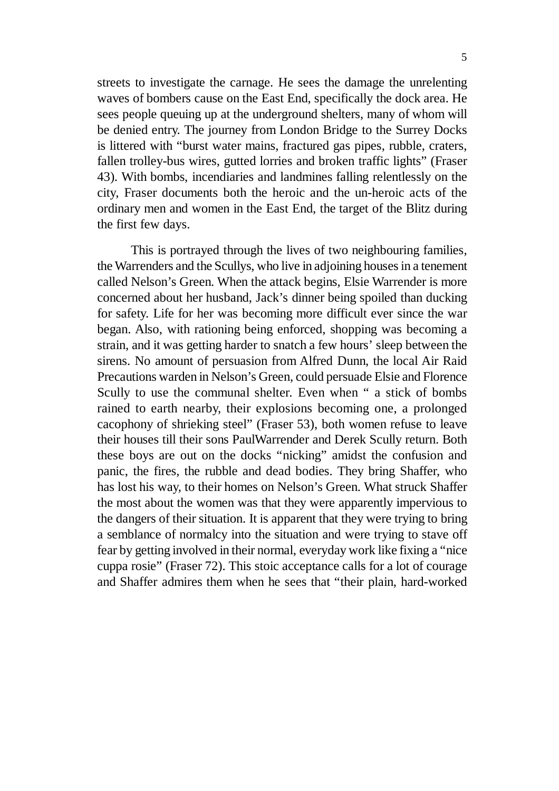streets to investigate the carnage. He sees the damage the unrelenting waves of bombers cause on the East End, specifically the dock area. He sees people queuing up at the underground shelters, many of whom will be denied entry. The journey from London Bridge to the Surrey Docks is littered with "burst water mains, fractured gas pipes, rubble, craters, fallen trolley-bus wires, gutted lorries and broken traffic lights" (Fraser 43). With bombs, incendiaries and landmines falling relentlessly on the city, Fraser documents both the heroic and the un-heroic acts of the ordinary men and women in the East End, the target of the Blitz during the first few days.

This is portrayed through the lives of two neighbouring families, the Warrenders and the Scullys, who live in adjoining houses in a tenement called Nelson's Green. When the attack begins, Elsie Warrender is more concerned about her husband, Jack's dinner being spoiled than ducking for safety. Life for her was becoming more difficult ever since the war began. Also, with rationing being enforced, shopping was becoming a strain, and it was getting harder to snatch a few hours' sleep between the sirens. No amount of persuasion from Alfred Dunn, the local Air Raid Precautions warden in Nelson's Green, could persuade Elsie and Florence Scully to use the communal shelter. Even when " a stick of bombs rained to earth nearby, their explosions becoming one, a prolonged cacophony of shrieking steel" (Fraser 53), both women refuse to leave their houses till their sons PaulWarrender and Derek Scully return. Both these boys are out on the docks "nicking" amidst the confusion and panic, the fires, the rubble and dead bodies. They bring Shaffer, who has lost his way, to their homes on Nelson's Green. What struck Shaffer the most about the women was that they were apparently impervious to the dangers of their situation. It is apparent that they were trying to bring a semblance of normalcy into the situation and were trying to stave off fear by getting involved in their normal, everyday work like fixing a "nice cuppa rosie" (Fraser 72). This stoic acceptance calls for a lot of courage and Shaffer admires them when he sees that "their plain, hard-worked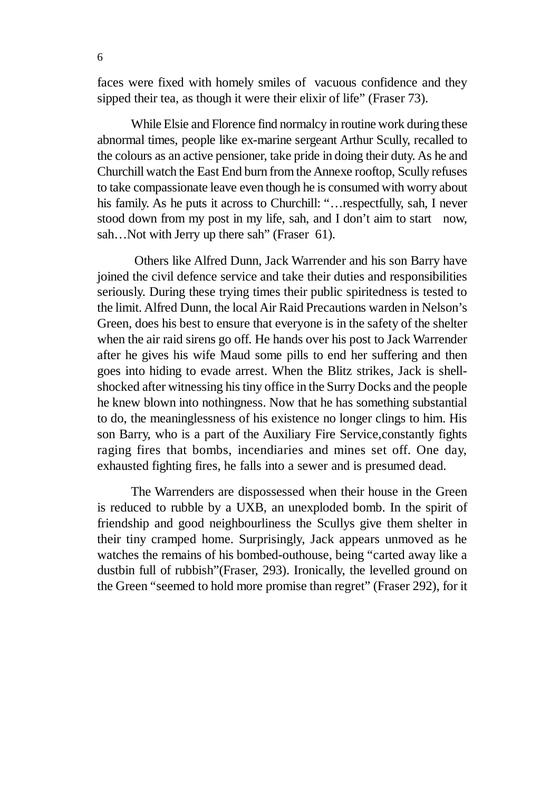faces were fixed with homely smiles of vacuous confidence and they sipped their tea, as though it were their elixir of life" (Fraser 73).

While Elsie and Florence find normalcy in routine work during these abnormal times, people like ex-marine sergeant Arthur Scully, recalled to the colours as an active pensioner, take pride in doing their duty. As he and Churchill watch the East End burn from the Annexe rooftop, Scully refuses to take compassionate leave even though he is consumed with worry about his family. As he puts it across to Churchill: "…respectfully, sah, I never stood down from my post in my life, sah, and I don't aim to start now, sah...Not with Jerry up there sah" (Fraser 61).

 Others like Alfred Dunn, Jack Warrender and his son Barry have joined the civil defence service and take their duties and responsibilities seriously. During these trying times their public spiritedness is tested to the limit. Alfred Dunn, the local Air Raid Precautions warden in Nelson's Green, does his best to ensure that everyone is in the safety of the shelter when the air raid sirens go off. He hands over his post to Jack Warrender after he gives his wife Maud some pills to end her suffering and then goes into hiding to evade arrest. When the Blitz strikes, Jack is shellshocked after witnessing his tiny office in the Surry Docks and the people he knew blown into nothingness. Now that he has something substantial to do, the meaninglessness of his existence no longer clings to him. His son Barry, who is a part of the Auxiliary Fire Service,constantly fights raging fires that bombs, incendiaries and mines set off. One day, exhausted fighting fires, he falls into a sewer and is presumed dead.

The Warrenders are dispossessed when their house in the Green is reduced to rubble by a UXB, an unexploded bomb. In the spirit of friendship and good neighbourliness the Scullys give them shelter in their tiny cramped home. Surprisingly, Jack appears unmoved as he watches the remains of his bombed-outhouse, being "carted away like a dustbin full of rubbish"(Fraser, 293). Ironically, the levelled ground on the Green "seemed to hold more promise than regret" (Fraser 292), for it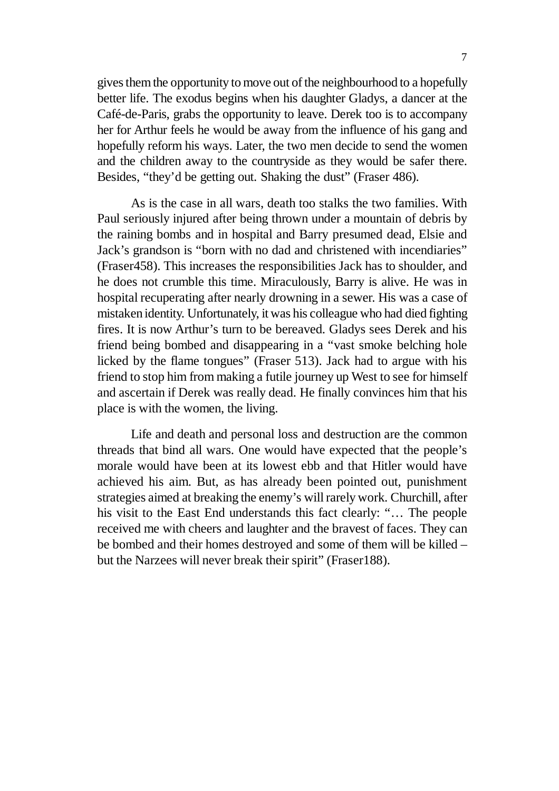gives them the opportunity to move out of the neighbourhood to a hopefully better life. The exodus begins when his daughter Gladys, a dancer at the Café-de-Paris, grabs the opportunity to leave. Derek too is to accompany her for Arthur feels he would be away from the influence of his gang and hopefully reform his ways. Later, the two men decide to send the women and the children away to the countryside as they would be safer there. Besides, "they'd be getting out. Shaking the dust" (Fraser 486).

As is the case in all wars, death too stalks the two families. With Paul seriously injured after being thrown under a mountain of debris by the raining bombs and in hospital and Barry presumed dead, Elsie and Jack's grandson is "born with no dad and christened with incendiaries" (Fraser458). This increases the responsibilities Jack has to shoulder, and he does not crumble this time. Miraculously, Barry is alive. He was in hospital recuperating after nearly drowning in a sewer. His was a case of mistaken identity. Unfortunately, it was his colleague who had died fighting fires. It is now Arthur's turn to be bereaved. Gladys sees Derek and his friend being bombed and disappearing in a "vast smoke belching hole licked by the flame tongues" (Fraser 513). Jack had to argue with his friend to stop him from making a futile journey up West to see for himself and ascertain if Derek was really dead. He finally convinces him that his place is with the women, the living.

Life and death and personal loss and destruction are the common threads that bind all wars. One would have expected that the people's morale would have been at its lowest ebb and that Hitler would have achieved his aim. But, as has already been pointed out, punishment strategies aimed at breaking the enemy's will rarely work. Churchill, after his visit to the East End understands this fact clearly: "… The people received me with cheers and laughter and the bravest of faces. They can be bombed and their homes destroyed and some of them will be killed – but the Narzees will never break their spirit" (Fraser188).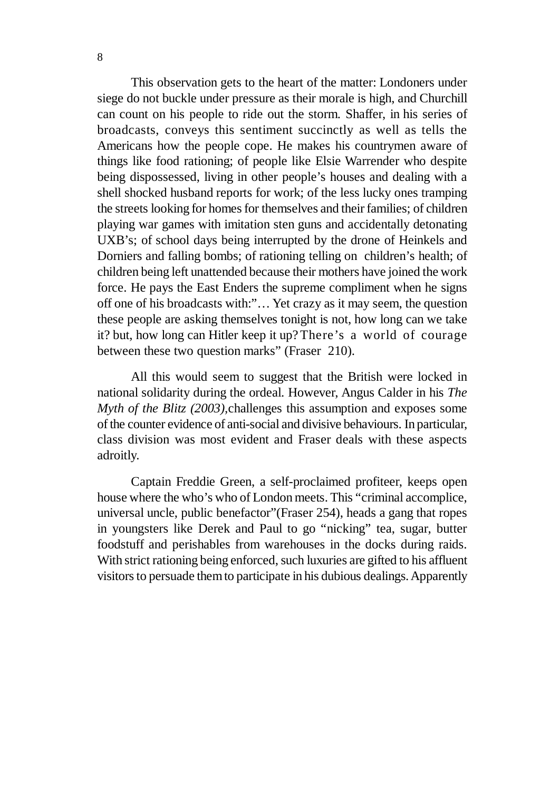This observation gets to the heart of the matter: Londoners under siege do not buckle under pressure as their morale is high, and Churchill can count on his people to ride out the storm. Shaffer, in his series of broadcasts, conveys this sentiment succinctly as well as tells the Americans how the people cope. He makes his countrymen aware of things like food rationing; of people like Elsie Warrender who despite being dispossessed, living in other people's houses and dealing with a shell shocked husband reports for work; of the less lucky ones tramping the streets looking for homes for themselves and their families; of children playing war games with imitation sten guns and accidentally detonating UXB's; of school days being interrupted by the drone of Heinkels and Dorniers and falling bombs; of rationing telling on children's health; of children being left unattended because their mothers have joined the work force. He pays the East Enders the supreme compliment when he signs off one of his broadcasts with:"… Yet crazy as it may seem, the question these people are asking themselves tonight is not, how long can we take it? but, how long can Hitler keep it up?There's a world of courage between these two question marks" (Fraser 210).

All this would seem to suggest that the British were locked in national solidarity during the ordeal. However, Angus Calder in his *The Myth of the Blitz (2003),*challenges this assumption and exposes some of the counter evidence of anti-social and divisive behaviours. In particular, class division was most evident and Fraser deals with these aspects adroitly.

Captain Freddie Green, a self-proclaimed profiteer, keeps open house where the who's who of London meets. This "criminal accomplice, universal uncle, public benefactor"(Fraser 254), heads a gang that ropes in youngsters like Derek and Paul to go "nicking" tea, sugar, butter foodstuff and perishables from warehouses in the docks during raids. With strict rationing being enforced, such luxuries are gifted to his affluent visitors to persuade them to participate in his dubious dealings. Apparently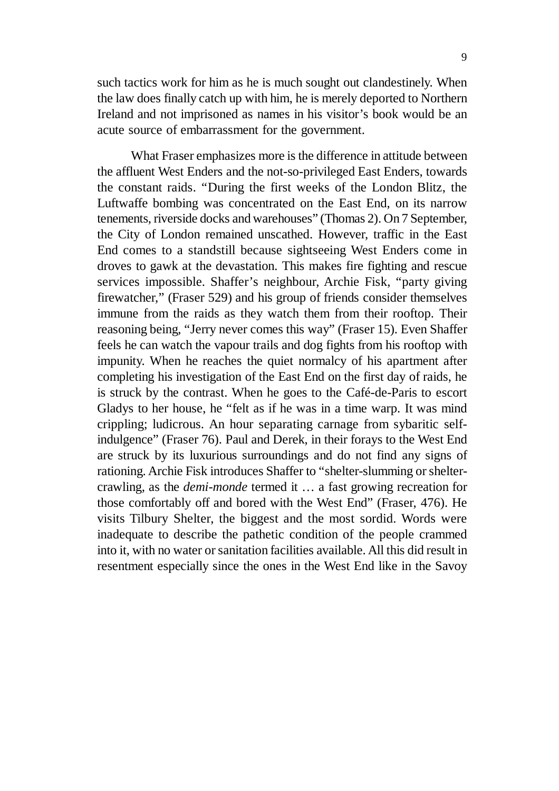such tactics work for him as he is much sought out clandestinely. When the law does finally catch up with him, he is merely deported to Northern Ireland and not imprisoned as names in his visitor's book would be an acute source of embarrassment for the government.

What Fraser emphasizes more is the difference in attitude between the affluent West Enders and the not-so-privileged East Enders, towards the constant raids. "During the first weeks of the London Blitz, the Luftwaffe bombing was concentrated on the East End, on its narrow tenements, riverside docks and warehouses" (Thomas 2). On 7 September, the City of London remained unscathed. However, traffic in the East End comes to a standstill because sightseeing West Enders come in droves to gawk at the devastation. This makes fire fighting and rescue services impossible. Shaffer's neighbour, Archie Fisk, "party giving firewatcher," (Fraser 529) and his group of friends consider themselves immune from the raids as they watch them from their rooftop. Their reasoning being, "Jerry never comes this way" (Fraser 15). Even Shaffer feels he can watch the vapour trails and dog fights from his rooftop with impunity. When he reaches the quiet normalcy of his apartment after completing his investigation of the East End on the first day of raids, he is struck by the contrast. When he goes to the Café-de-Paris to escort Gladys to her house, he "felt as if he was in a time warp. It was mind crippling; ludicrous. An hour separating carnage from sybaritic selfindulgence" (Fraser 76). Paul and Derek, in their forays to the West End are struck by its luxurious surroundings and do not find any signs of rationing. Archie Fisk introduces Shaffer to "shelter-slumming or sheltercrawling, as the *demi-monde* termed it … a fast growing recreation for those comfortably off and bored with the West End" (Fraser, 476). He visits Tilbury Shelter, the biggest and the most sordid. Words were inadequate to describe the pathetic condition of the people crammed into it, with no water or sanitation facilities available. All this did result in resentment especially since the ones in the West End like in the Savoy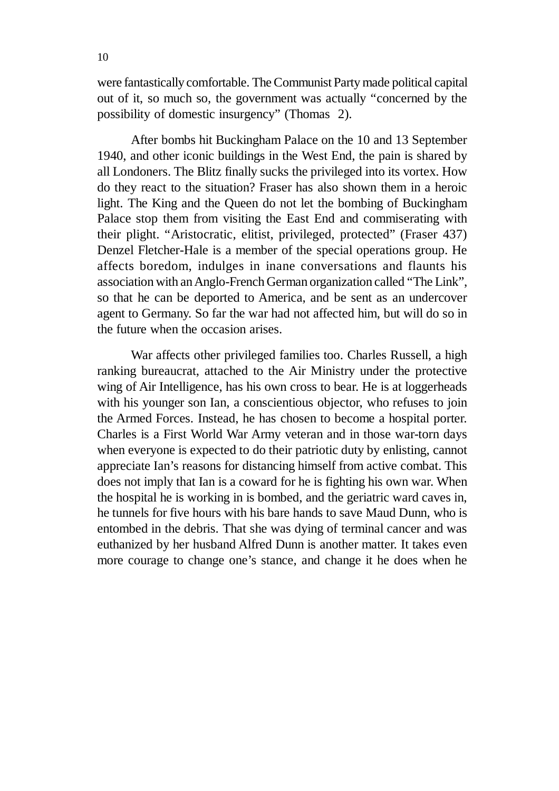were fantastically comfortable. The Communist Party made political capital out of it, so much so, the government was actually "concerned by the possibility of domestic insurgency" (Thomas 2).

After bombs hit Buckingham Palace on the 10 and 13 September 1940, and other iconic buildings in the West End, the pain is shared by all Londoners. The Blitz finally sucks the privileged into its vortex. How do they react to the situation? Fraser has also shown them in a heroic light. The King and the Queen do not let the bombing of Buckingham Palace stop them from visiting the East End and commiserating with their plight. "Aristocratic, elitist, privileged, protected" (Fraser 437) Denzel Fletcher-Hale is a member of the special operations group. He affects boredom, indulges in inane conversations and flaunts his association with an Anglo-French German organization called "The Link", so that he can be deported to America, and be sent as an undercover agent to Germany. So far the war had not affected him, but will do so in the future when the occasion arises.

War affects other privileged families too. Charles Russell, a high ranking bureaucrat, attached to the Air Ministry under the protective wing of Air Intelligence, has his own cross to bear. He is at loggerheads with his younger son Ian, a conscientious objector, who refuses to join the Armed Forces. Instead, he has chosen to become a hospital porter. Charles is a First World War Army veteran and in those war-torn days when everyone is expected to do their patriotic duty by enlisting, cannot appreciate Ian's reasons for distancing himself from active combat. This does not imply that Ian is a coward for he is fighting his own war. When the hospital he is working in is bombed, and the geriatric ward caves in, he tunnels for five hours with his bare hands to save Maud Dunn, who is entombed in the debris. That she was dying of terminal cancer and was euthanized by her husband Alfred Dunn is another matter. It takes even more courage to change one's stance, and change it he does when he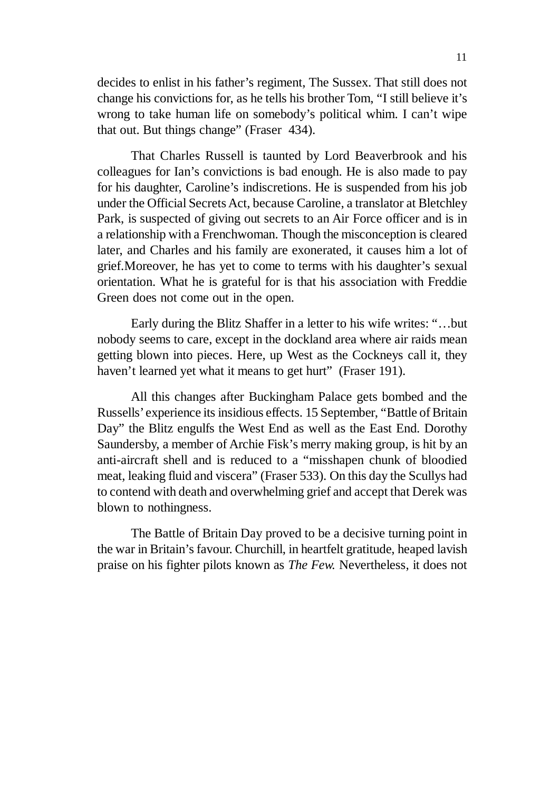decides to enlist in his father's regiment, The Sussex. That still does not change his convictions for, as he tells his brother Tom, "I still believe it's wrong to take human life on somebody's political whim. I can't wipe that out. But things change" (Fraser 434).

That Charles Russell is taunted by Lord Beaverbrook and his colleagues for Ian's convictions is bad enough. He is also made to pay for his daughter, Caroline's indiscretions. He is suspended from his job under the Official Secrets Act, because Caroline, a translator at Bletchley Park, is suspected of giving out secrets to an Air Force officer and is in a relationship with a Frenchwoman. Though the misconception is cleared later, and Charles and his family are exonerated, it causes him a lot of grief.Moreover, he has yet to come to terms with his daughter's sexual orientation. What he is grateful for is that his association with Freddie Green does not come out in the open.

Early during the Blitz Shaffer in a letter to his wife writes: "…but nobody seems to care, except in the dockland area where air raids mean getting blown into pieces. Here, up West as the Cockneys call it, they haven't learned yet what it means to get hurt" (Fraser 191).

All this changes after Buckingham Palace gets bombed and the Russells' experience its insidious effects. 15 September, "Battle of Britain Day" the Blitz engulfs the West End as well as the East End. Dorothy Saundersby, a member of Archie Fisk's merry making group, is hit by an anti-aircraft shell and is reduced to a "misshapen chunk of bloodied meat, leaking fluid and viscera" (Fraser 533). On this day the Scullys had to contend with death and overwhelming grief and accept that Derek was blown to nothingness.

The Battle of Britain Day proved to be a decisive turning point in the war in Britain's favour. Churchill, in heartfelt gratitude, heaped lavish praise on his fighter pilots known as *The Few.* Nevertheless, it does not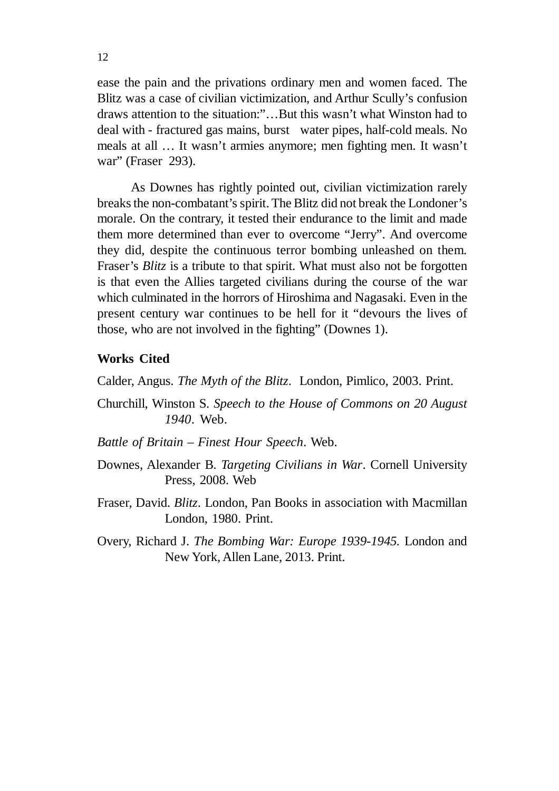ease the pain and the privations ordinary men and women faced. The Blitz was a case of civilian victimization, and Arthur Scully's confusion draws attention to the situation:"…But this wasn't what Winston had to deal with - fractured gas mains, burst water pipes, half-cold meals. No meals at all … It wasn't armies anymore; men fighting men. It wasn't war" (Fraser 293).

As Downes has rightly pointed out, civilian victimization rarely breaks the non-combatant's spirit. The Blitz did not break the Londoner's morale. On the contrary, it tested their endurance to the limit and made them more determined than ever to overcome "Jerry". And overcome they did, despite the continuous terror bombing unleashed on them. Fraser's *Blitz* is a tribute to that spirit. What must also not be forgotten is that even the Allies targeted civilians during the course of the war which culminated in the horrors of Hiroshima and Nagasaki. Even in the present century war continues to be hell for it "devours the lives of those, who are not involved in the fighting" (Downes 1).

#### **Works Cited**

Calder, Angus. *The Myth of the Blitz*. London, Pimlico, 2003. Print.

- Churchill, Winston S. *Speech to the House of Commons on 20 August 1940*. Web.
- *Battle of Britain Finest Hour Speech*. Web.
- Downes, Alexander B. *Targeting Civilians in War*. Cornell University Press, 2008. Web
- Fraser, David. *Blitz*. London, Pan Books in association with Macmillan London, 1980. Print.
- Overy, Richard J. *The Bombing War: Europe 1939-1945.* London and New York, Allen Lane, 2013. Print.